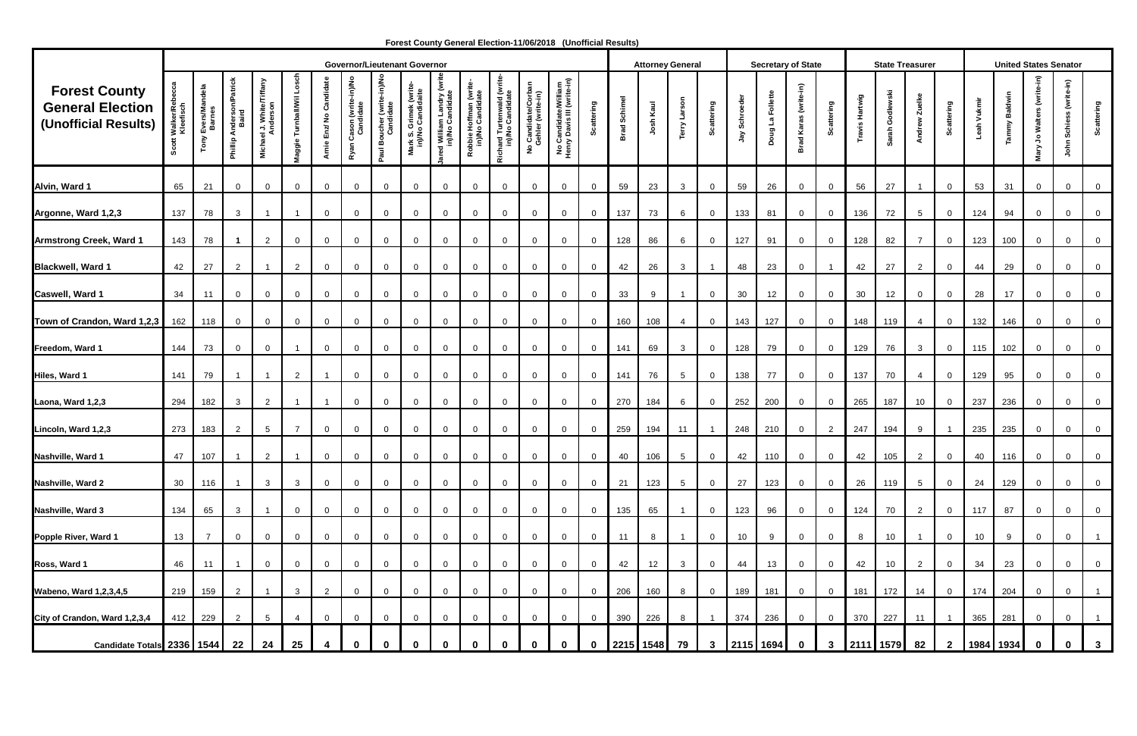|                                                                         |                         |                                 |                                      |                                                 |                           |                         | <b>Governor/Lieutenant Governor</b>   |                                         |                                            |                                             |                                            |                                               |                                                                               |                                                    |                     |                        | <b>Attorney General</b> |                 |                |               |                  | <b>Secretary of State</b>      |                                  |                | <b>State Treasurer</b> |                 |                   |                  |              | <b>United States Senator</b>    |                                        |                                |
|-------------------------------------------------------------------------|-------------------------|---------------------------------|--------------------------------------|-------------------------------------------------|---------------------------|-------------------------|---------------------------------------|-----------------------------------------|--------------------------------------------|---------------------------------------------|--------------------------------------------|-----------------------------------------------|-------------------------------------------------------------------------------|----------------------------------------------------|---------------------|------------------------|-------------------------|-----------------|----------------|---------------|------------------|--------------------------------|----------------------------------|----------------|------------------------|-----------------|-------------------|------------------|--------------|---------------------------------|----------------------------------------|--------------------------------|
| <b>Forest County</b><br><b>General Election</b><br>(Unofficial Results) | Walker/Rek<br>Kleefisch | Evers/Mandela<br>Barnes<br>Tony | Anderson/Patrick<br>Baird<br>Phillip | ael J. White/Tiffany<br>Anderson<br><b>Mich</b> | Turnball/Wil Lo<br>laggie | Arnie Enz/ No Candidate | Ryan Cason (write-in)/No<br>Candidate | Paul Boucher (write-in)/No<br>Candidate | Mark S. Grimek (write<br>in)/No Candidaite | ed William Landry (writ<br>in)/No Candidate | Robbie Hoffman (write-<br>in)/No Candidate | Richard Turtenwald (write<br>in)/No Candidate | o Candidate/Corban<br>Gehler (write-in)<br>$\overset{\mathtt{o}}{\mathtt{z}}$ | No Candidate/William<br>Henry Davis III (write-in) | attering            | Schimel<br><b>Brad</b> | Josh Kaul               | Terry Larson    | Scattering     | Jay Schroeder | Doug La Follette | Brad Karas (write-in)          | Scattering                       | Travis Hartwig | Sarah Godlewski        | Andrew Zuelke   | <b>Scattering</b> | Leah Vukmir      | ammy Baldwin | Walters (write-in)<br>و<br>Mary | (write-in)<br>Schie<br>$\epsilon$<br>흥 | <b>Scattering</b>              |
| Alvin, Ward 1                                                           | 65                      | 21                              | $\overline{0}$                       | $\overline{0}$                                  | $\mathbf 0$               | $\overline{0}$          | 0                                     | $\mathbf 0$                             | $\mathbf{0}$                               | $\overline{0}$                              | $\overline{0}$                             | $\mathbf{0}$                                  | $\overline{0}$                                                                | $\mathbf 0$                                        | $\mathbf 0$         | 59                     | 23                      | $\mathbf{3}$    | $\mathbf 0$    | 59            | 26               | $\overline{0}$                 | $\overline{0}$                   | 56             | 27                     |                 | $\overline{0}$    | 53               | 31           | $\overline{0}$                  | $\mathbf 0$                            | $\overline{0}$                 |
| Argonne, Ward 1,2,3                                                     | 137                     | 78                              | $\mathbf{3}$                         |                                                 |                           | $\overline{0}$          | $\mathbf 0$                           | $\mathbf 0$                             | $\mathbf 0$                                | $\overline{0}$                              | $\overline{0}$                             | $\mathbf{0}$                                  | $\overline{0}$                                                                | $\mathbf 0$                                        | $\overline{0}$      | 137                    | 73                      | 6               | $\mathbf 0$    | 133           | 81               | $\overline{0}$                 | $\overline{0}$                   | 136            | 72                     | $5\overline{)}$ | $\mathbf{0}$      | 124              | 94           | $\overline{0}$                  | $\mathbf{0}$                           | $\overline{0}$                 |
| <b>Armstrong Creek, Ward 1</b>                                          | 143                     | 78                              | -1                                   | $\overline{2}$                                  | $\mathbf 0$               | $\overline{0}$          | 0                                     | $\overline{0}$                          | $\mathbf{0}$                               | $\overline{0}$                              | $\overline{0}$                             | $\Omega$                                      | $\mathbf 0$                                                                   | $\mathbf 0$                                        | $\overline{0}$      | 128                    | 86                      | 6               | $\mathbf 0$    | 127           | 91               | $\overline{0}$                 | $\mathbf 0$                      | 128            | 82                     | $\overline{7}$  | $\overline{0}$    | 123              | 100          | $\overline{0}$                  | $\mathbf{0}$                           | $\overline{0}$                 |
| <b>Blackwell, Ward 1</b>                                                | 42                      | 27                              | $\overline{2}$                       | $\overline{\mathbf{1}}$                         | $\overline{2}$            | $\overline{0}$          | 0                                     | $\mathbf{0}$                            | $\mathbf{0}$                               | $\mathbf{0}$                                | $\overline{0}$                             | $\overline{0}$                                | $\mathbf 0$                                                                   | $\mathbf{0}$                                       | $\overline{0}$      | 42                     | 26                      | $\mathbf{3}$    |                | 48            | 23               | $\overline{0}$                 | $\overline{1}$                   | 42             | 27                     | $\overline{2}$  | $\mathbf{0}$      | 44               | 29           | $\overline{0}$                  | $\mathbf 0$                            | $\overline{0}$                 |
| Caswell, Ward 1                                                         | 34                      | 11                              | $\overline{0}$                       | $\mathbf 0$                                     | $\mathbf 0$               | $\overline{0}$          | $\mathbf{0}$                          | $\mathbf 0$                             | $\mathbf 0$                                | $\overline{0}$                              | $\mathbf 0$                                | $\mathbf 0$                                   | $\mathbf 0$                                                                   | 0                                                  | $\mathbf 0$         | 33                     | 9                       | -1              | $\mathbf 0$    | 30            | 12               | $\overline{0}$                 | $\overline{0}$                   | 30             | 12                     | $\mathbf{0}$    | $\mathbf{0}$      | 28               | 17           | $\overline{0}$                  | $\mathbf 0$                            | $\mathsf 0$                    |
| Town of Crandon, Ward 1,2,3                                             | 162                     | 118                             | $\overline{0}$                       | $\overline{0}$                                  | $\overline{0}$            | $\overline{0}$          | $\mathbf 0$                           | $\mathbf 0$                             | $\mathbf{0}$                               | $\mathbf 0$                                 | $\overline{0}$                             | $\mathbf 0$                                   | $\mathbf 0$                                                                   | $\mathbf 0$                                        | $\overline{0}$      | 160                    | 108                     | 4               | $\mathbf 0$    | 143           | 127              | $\overline{0}$                 | $\overline{0}$                   | 148            | 119                    | $\overline{4}$  | $\mathbf{0}$      | 132              | 146          | $\overline{0}$                  | $\mathbf 0$                            | $\mathsf 0$                    |
| Freedom, Ward 1                                                         | 144                     | 73                              | $\overline{0}$                       | $\overline{0}$                                  |                           | $\overline{0}$          | $\overline{0}$                        | $\mathbf 0$                             | $\mathbf 0$                                | $\overline{0}$                              | $\overline{0}$                             | $\overline{0}$                                | $\overline{0}$                                                                | $\mathbf 0$                                        | $\overline{0}$      | 141                    | 69                      | $\mathbf{3}$    | $\overline{0}$ | 128           | 79               | $\overline{0}$                 | $\overline{0}$                   | 129            | 76                     | $\mathbf{3}$    | $\mathbf{0}$      | 115              | 102          | $\overline{0}$                  | $\mathbf 0$                            | $\overline{0}$                 |
| Hiles, Ward 1                                                           | 141                     | 79                              | -1                                   | $\overline{\mathbf{1}}$                         | $\overline{2}$            | -1                      | $\mathbf 0$                           | $\overline{0}$                          | $\mathbf{0}$                               | $\overline{0}$                              | $\overline{0}$                             | $\overline{0}$                                | $\mathbf 0$                                                                   | $\mathbf 0$                                        | $\overline{0}$      | 141                    | 76                      | $5\overline{)}$ | $\mathbf 0$    | 138           | 77               | $\overline{0}$                 | $\overline{0}$                   | 137            | 70                     | $\overline{4}$  | $\overline{0}$    | 129              | 95           | $\overline{0}$                  | $\mathbf 0$                            | $\overline{0}$                 |
|                                                                         |                         |                                 |                                      |                                                 |                           |                         |                                       |                                         |                                            |                                             |                                            |                                               |                                                                               |                                                    |                     |                        |                         |                 |                |               |                  |                                |                                  |                |                        |                 |                   |                  |              |                                 |                                        |                                |
| Laona, Ward 1,2,3                                                       | 294                     | 182                             | $\mathbf{3}$                         | $\overline{2}$                                  |                           | $\overline{1}$          | $\overline{0}$                        | $\mathbf 0$                             | $\mathbf{0}$                               | $\overline{0}$                              | $\overline{0}$                             | $\mathbf{0}$                                  | $\overline{0}$                                                                | $\mathbf 0$                                        | $\overline{0}$      | 270                    | 184                     | 6               | $\mathbf 0$    | 252           | 200              | $\overline{0}$                 | $\overline{0}$                   | 265            | 187                    | 10              | $\overline{0}$    | 237              | 236          | $\overline{0}$                  | $\mathbf{0}$                           | $\overline{0}$                 |
| Lincoln, Ward 1,2,3                                                     | 273                     | 183                             | $\overline{2}$                       | $5\phantom{.0}$                                 | $\overline{7}$            | $\overline{0}$          | 0                                     | $\mathbf 0$                             | $\mathbf 0$                                | $\overline{0}$                              | $\overline{0}$                             | $\overline{0}$                                | $\mathbf 0$                                                                   | $\mathbf{0}$                                       | $\overline{0}$      | 259                    | 194                     | 11              |                | 248           | 210              | $\overline{0}$                 | $\overline{2}$                   | 247            | 194                    | 9               |                   | 235              | 235          | $\overline{0}$                  | $\overline{0}$                         | $\mathbf 0$                    |
| Nashville, Ward 1                                                       | 47                      | 107                             |                                      | $\overline{2}$                                  |                           | $\overline{0}$          | $\mathbf{0}$                          | $\mathbf 0$                             |                                            | $\Omega$                                    | $\overline{0}$                             | $\Omega$                                      | $\mathbf 0$                                                                   | 0                                                  | $\mathbf 0$         | 40                     | 106                     | 5               | $\Omega$       | 42            | 110              | $\overline{0}$                 | $\overline{0}$                   | 42             | 105                    | $\overline{2}$  | $\mathbf{0}$      | 40               | 116          | $\mathbf{0}$                    | $\Omega$                               | $\overline{0}$                 |
| Nashville, Ward 2                                                       | 30 <sub>o</sub>         | 116                             |                                      | $\mathbf{3}$                                    | $\mathbf{3}$              | $\overline{0}$          | $\overline{0}$                        | $\mathbf 0$                             | $\overline{0}$                             | $\overline{0}$                              | $\overline{0}$                             | $\mathbf 0$                                   | $\overline{0}$                                                                | $\overline{0}$                                     | $\overline{0}$      | 21                     | 123                     | $5\overline{)}$ | $\overline{0}$ | 27            | 123              | $\overline{0}$                 | $\overline{0}$                   | 26             | 119                    | $5\overline{)}$ | $\mathbf 0$       | 24               | 129          | $\overline{0}$                  | $\overline{0}$                         | $\overline{0}$                 |
| Nashville, Ward 3                                                       | 134                     | 65                              | $\mathbf{3}$                         |                                                 | $\mathbf 0$               | $\overline{0}$          | $\mathbf 0$                           | $\mathbf{0}$                            | $\mathbf 0$                                | $\mathbf 0$                                 | $\overline{0}$                             | $\mathbf{0}$                                  | $\mathbf 0$                                                                   | $\mathbf{0}$                                       | $\overline{0}$      | 135                    | 65                      | $\mathbf{1}$    | $\mathbf{0}$   | 123           | 96               | $\overline{0}$                 | $\overline{0}$                   | 124            | 70                     | $\overline{2}$  | $\overline{0}$    | 117              | 87           | $\overline{0}$                  | $\mathbf 0$                            | $\overline{0}$                 |
| Popple River, Ward 1                                                    | 13                      | $\overline{7}$                  | $\overline{0}$                       | $\overline{0}$                                  | $\overline{0}$            | $\overline{0}$          | $\mathbf{0}$                          | $\mathbf 0$                             | $\mathbf{0}$                               | $\overline{0}$                              | $\overline{0}$                             | $\overline{0}$                                | $\mathbf 0$                                                                   | $\mathbf 0$                                        | $\overline{0}$      | 11                     | 8                       | $\overline{1}$  | $\mathbf 0$    | 10            | 9                | $\overline{0}$                 | $\overline{0}$                   | 8              | 10                     |                 | $\mathbf{0}$      | 10               | 9            | $\overline{0}$                  | $\mathbf 0$                            | $\mathbf{1}$                   |
| Ross, Ward 1                                                            | 46                      | 11                              |                                      | $\overline{0}$                                  | $\overline{0}$            | $\overline{0}$          | $\mathbf{0}$                          | $\mathbf 0$                             | $\mathbf 0$                                | $\overline{0}$                              | $\overline{0}$                             | $\mathbf{0}$                                  | $\overline{0}$                                                                | $\mathbf 0$                                        | $\overline{0}$      | 42                     | 12                      | $\mathbf{3}$    | $\mathbf 0$    | 44            | 13               | $\overline{0}$                 | $\overline{0}$                   | 42             | 10                     | $\overline{2}$  | $\mathbf{0}$      | 34               | 23           | $\mathbf{0}$                    | $\mathbf 0$                            | $\overline{0}$                 |
| <b>Wabeno, Ward 1,2,3,4,5</b>                                           | 219                     | 159                             | $\overline{2}$                       |                                                 | $\mathbf{3}$              | $\overline{2}$          | $\overline{0}$                        | $\mathbf{0}$                            | $\overline{0}$                             | $\mathbf 0$                                 | $\overline{0}$                             | $\mathbf 0$                                   | $\mathbf 0$                                                                   | $\mathbf 0$                                        | $\overline{0}$      | 206                    | 160                     | 8               | $\mathbf{0}$   | 189           | 181              | $\overline{0}$                 | $\overline{0}$                   | 181            | 172                    | 14              | $\overline{0}$    | 174              | 204          | $\overline{0}$                  | $\overline{0}$                         | $\overline{1}$                 |
|                                                                         |                         |                                 |                                      |                                                 |                           |                         |                                       |                                         |                                            |                                             |                                            |                                               |                                                                               |                                                    |                     |                        |                         |                 |                |               |                  |                                |                                  |                |                        |                 |                   |                  |              |                                 |                                        |                                |
| City of Crandon, Ward 1,2,3,4<br>Candidate Totals 2336 1544             | 412                     | 229                             | $\overline{2}$<br>22                 | $5\phantom{.0}$<br>24                           | $\overline{4}$<br>25      | $\overline{0}$          | $\mathbf{0}$                          | $\mathbf{0}$                            | $\mathbf{0}$                               | $\mathbf 0$                                 | $\overline{0}$                             | $\mathbf{0}$                                  | $\mathbf 0$                                                                   | $\mathbf{0}$                                       | $\overline{0}$<br>0 | 390                    | 226<br>2215 1548        | 8<br>79         | $3\phantom{a}$ | 374           | 236<br>2115 1694 | $\overline{0}$<br>$\mathbf{0}$ | $\overline{0}$<br>$3\phantom{a}$ |                | 370 227<br>2111 1579   | 11<br>82        | $\mathbf{2}$      | 365<br>1984 1934 | 281          | $\overline{0}$<br>$\bf{0}$      | $\mathbf{0}$                           | $\overline{1}$<br>$\mathbf{3}$ |

 **Forest County General Election-11/06/2018 (Unofficial Results)**